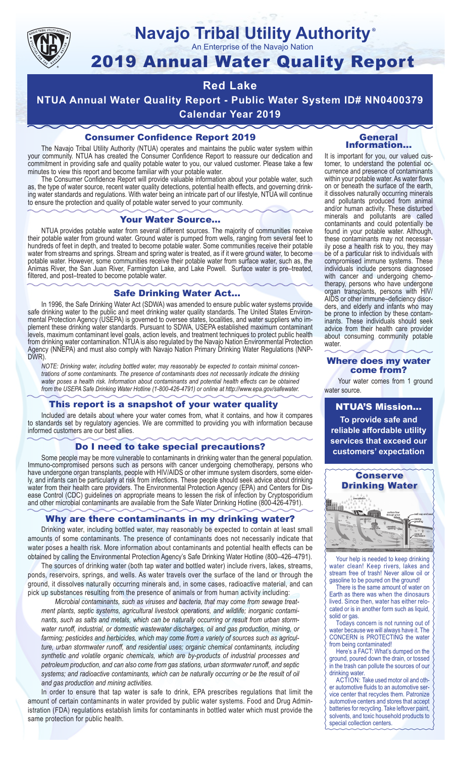

## **Navajo Tribal Utility Authority** ®

An Enterprise of the Navajo Nation

# 2019 Annual Water Quality Report

## **Red Lake**

**NTUA Annual Water Quality Report - Public Water System ID# NN0400379 Calendar Year 2019**

## Consumer Confidence Report 2019

The Navajo Tribal Utility Authority (NTUA) operates and maintains the public water system within your community. NTUA has created the Consumer Confidence Report to reassure our dedication and commitment in providing safe and quality potable water to you, our valued customer. Please take a few minutes to view this report and become familiar with your potable water.

The Consumer Confidence Report will provide valuable information about your potable water, such as, the type of water source, recent water quality detections, potential health effects, and governing drinking water standards and regulations. With water being an intricate part of our lifestyle, NTUA will continue to ensure the protection and quality of potable water served to your community.

#### Your Water Source…

NTUA provides potable water from several different sources. The majority of communities receive their potable water from ground water. Ground water is pumped from wells, ranging from several feet to hundreds of feet in depth, and treated to become potable water. Some communities receive their potable water from streams and springs. Stream and spring water is treated, as if it were ground water, to become potable water. However, some communities receive their potable water from surface water, such as, the Animas River, the San Juan River, Farmington Lake, and Lake Powell. Surface water is pre–treated, filtered, and post–treated to become potable water.

### Safe Drinking Water Act…

In 1996, the Safe Drinking Water Act (SDWA) was amended to ensure public water systems provide safe drinking water to the public and meet drinking water quality standards. The United States Environmental Protection Agency (USEPA) is governed to oversee states, localities, and water suppliers who implement these drinking water standards. Pursuant to SDWA, USEPA established maximum contaminant levels, maximum contaminant level goals, action levels, and treatment techniques to protect public health from drinking water contamination. NTUA is also regulated by the Navajo Nation Environmental Protection Agency (NNEPA) and must also comply with Navajo Nation Primary Drinking Water Regulations (NNP-DWR)

*NOTE: Drinking water, including bottled water, may reasonably be expected to contain minimal concentrations of some contaminants. The presence of contaminants does not necessarily indicate the drinking water poses a health risk. Information about contaminants and potential health effects can be obtained from the USEPA Safe Drinking Water Hotline (1-800-426-4791) or online at http://www.epa.gov/safewater.*

## This report is a snapshot of your water quality

Included are details about where your water comes from, what it contains, and how it compares to standards set by regulatory agencies. We are committed to providing you with information because informed customers are our best allies.

## Do I need to take special precautions?

Some people may be more vulnerable to contaminants in drinking water than the general population. Immuno-compromised persons such as persons with cancer undergoing chemotherapy, persons who have undergone organ transplants, people with HIV/AIDS or other immune system disorders, some elderly, and infants can be particularly at risk from infections. These people should seek advice about drinking water from their health care providers. The Environmental Protection Agency (EPA) and Centers for Disease Control (CDC) guidelines on appropriate means to lessen the risk of infection by Cryptosporidium and other microbial contaminants are available from the Safe Water Drinking Hotline (800-426-4791).

## Why are there contaminants in my drinking water?

Drinking water, including bottled water, may reasonably be expected to contain at least small amounts of some contaminants. The presence of contaminants does not necessarily indicate that water poses a health risk. More information about contaminants and potential health effects can be obtained by calling the Environmental Protection Agency's Safe Drinking Water Hotline (800–426–4791).

The sources of drinking water (both tap water and bottled water) include rivers, lakes, streams, ponds, reservoirs, springs, and wells. As water travels over the surface of the land or through the ground, it dissolves naturally occurring minerals and, in some cases, radioactive material, and can pick up substances resulting from the presence of animals or from human activity including:

*Microbial contaminants, such as viruses and bacteria, that may come from sewage treatment plants, septic systems, agricultural livestock operations, and wildlife; inorganic contaminants, such as salts and metals, which can be naturally occurring or result from urban stormwater runoff, industrial, or domestic wastewater discharges, oil and gas production, mining, or farming; pesticides and herbicides, which may come from a variety of sources such as agriculture, urban stormwater runoff, and residential uses; organic chemical contaminants, including synthetic and volatile organic chemicals, which are by-products of industrial processes and petroleum production, and can also come from gas stations, urban stormwater runoff, and septic systems; and radioactive contaminants, which can be naturally occurring or be the result of oil and gas production and mining activities.*

In order to ensure that tap water is safe to drink, EPA prescribes regulations that limit the amount of certain contaminants in water provided by public water systems. Food and Drug Administration (FDA) regulations establish limits for contaminants in bottled water which must provide the same protection for public health.

#### General Information…

It is important for you, our valued customer, to understand the potential occurrence and presence of contaminants within your potable water. As water flows on or beneath the surface of the earth, it dissolves naturally occurring minerals and pollutants produced from animal and/or human activity. These disturbed minerals and pollutants are called contaminants and could potentially be found in your potable water. Although, these contaminants may not necessarily pose a health risk to you, they may be of a particular risk to individuals with compromised immune systems. These individuals include persons diagnosed with cancer and undergoing chemo-<br>therapy, persons who have undergone organ transplants, persons with HIV/ AIDS or other immune–deficiency disor- ders, and elderly and infants who may be prone to infection by these contam- inants. These individuals should seek advice from their health care provider about consuming community potable water.

#### Where does my water come from?

Your water comes from 1 ground water source.

NTUA'S Mission... **To provide safe and reliable affordable utility services that exceed our customers' expectation**



Your help is needed to keep drinking water clean! Keep rivers, lakes and stream free of trash! Never allow oil or gasoline to be poured on the ground!

There is the same amount of water on Earth as there was when the dinosaurs lived. Since then, water has either relocated or is in another form such as liquid, solid or gas.

Todays concern is not running out of water because we will always have it. The CONCERN is PROTECTING the water from being contaminated!

Here's a FACT: What's dumped on the ground, poured down the drain, or tossed in the trash can pollute the sources of our drinking water.

ACTION: Take used motor oil and other automotive fluids to an automotive service center that recycles them. Patronize automotive centers and stores that accept batteries for recycling. Take leftover paint, solvents, and toxic household products to special collection centers.